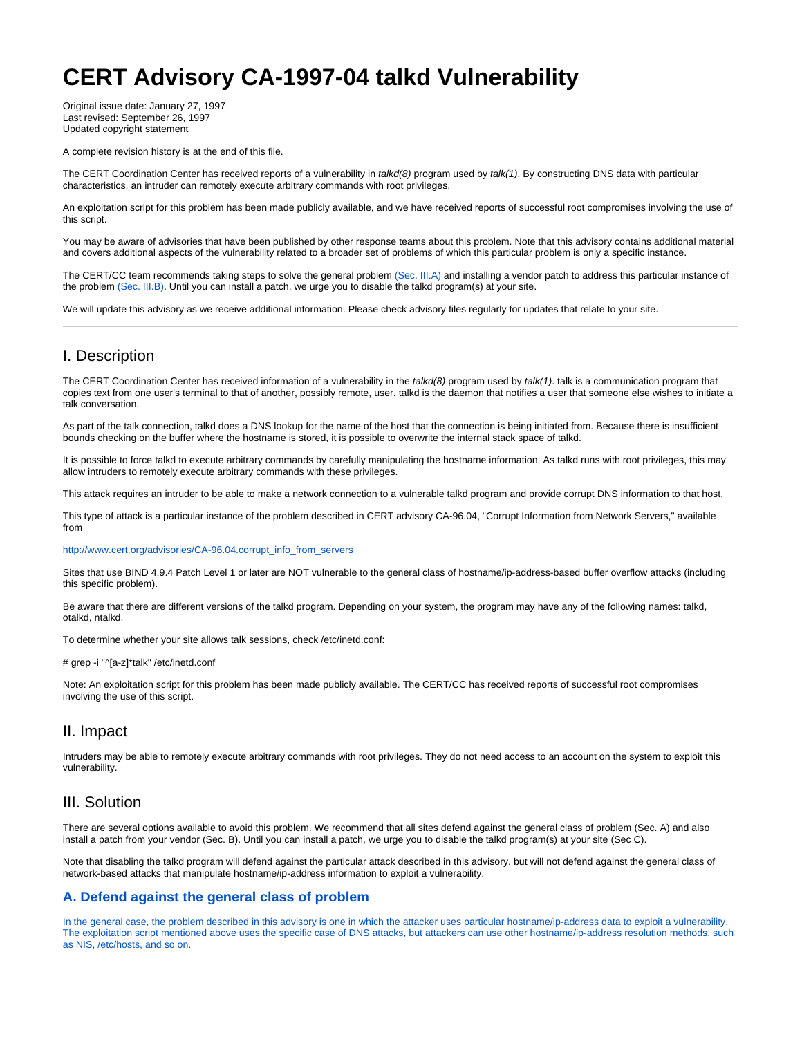# <span id="page-0-0"></span>**CERT Advisory CA-1997-04 talkd Vulnerability**

Original issue date: January 27, 1997 Last revised: September 26, 1997 Updated copyright statement

A complete revision history is at the end of this file.

The CERT Coordination Center has received reports of a vulnerability in talkd(8) program used by talk(1). By constructing DNS data with particular characteristics, an intruder can remotely execute arbitrary commands with root privileges.

An exploitation script for this problem has been made publicly available, and we have received reports of successful root compromises involving the use of this script.

You may be aware of advisories that have been published by other response teams about this problem. Note that this advisory contains additional material and covers additional aspects of the vulnerability related to a broader set of problems of which this particular problem is only a specific instance.

The CERT/CC team recommends taking steps to solve the general problem [\(Sec. III.A\)](#page-0-0) and installing a vendor patch to address this particular instance of the problem [\(Sec. III.B\)](#page-0-0). Until you can install a patch, we urge you to disable the talkd program(s) at your site.

We will update this advisory as we receive additional information. Please check advisory files regularly for updates that relate to your site.

## I. Description

The CERT Coordination Center has received information of a vulnerability in the talkd(8) program used by talk(1). talk is a communication program that copies text from one user's terminal to that of another, possibly remote, user. talkd is the daemon that notifies a user that someone else wishes to initiate a talk conversation.

As part of the talk connection, talkd does a DNS lookup for the name of the host that the connection is being initiated from. Because there is insufficient bounds checking on the buffer where the hostname is stored, it is possible to overwrite the internal stack space of talkd.

It is possible to force talkd to execute arbitrary commands by carefully manipulating the hostname information. As talkd runs with root privileges, this may allow intruders to remotely execute arbitrary commands with these privileges.

This attack requires an intruder to be able to make a network connection to a vulnerable talkd program and provide corrupt DNS information to that host.

This type of attack is a particular instance of the problem described in CERT advisory CA-96.04, "Corrupt Information from Network Servers," available from

[http://www.cert.org/advisories/CA-96.04.corrupt\\_info\\_from\\_servers](http://www.cert.org/advisories/CA-96.04.corrupt_info_from_servers.html)

Sites that use BIND 4.9.4 Patch Level 1 or later are NOT vulnerable to the general class of hostname/ip-address-based buffer overflow attacks (including this specific problem).

Be aware that there are different versions of the talkd program. Depending on your system, the program may have any of the following names: talkd, otalkd, ntalkd.

To determine whether your site allows talk sessions, check /etc/inetd.conf:

# grep -i "^[a-z]\*talk" /etc/inetd.conf

Note: An exploitation script for this problem has been made publicly available. The CERT/CC has received reports of successful root compromises involving the use of this script.

## II. Impact

Intruders may be able to remotely execute arbitrary commands with root privileges. They do not need access to an account on the system to exploit this vulnerability.

## III. Solution

There are several options available to avoid this problem. We recommend that all sites defend against the general class of problem (Sec. A) and also install a patch from your vendor (Sec. B). Until you can install a patch, we urge you to disable the talkd program(s) at your site (Sec C).

Note that disabling the talkd program will defend against the particular attack described in this advisory, but will not defend against the general class of network-based attacks that manipulate hostname/ip-address information to exploit a vulnerability.

## **A. Defend against the general class of problem**

In the general case, the problem described in this advisory is one in which the attacker uses particular hostname/ip-address data to exploit a vulnerability. The exploitation script mentioned above uses the specific case of DNS attacks, but attackers can use other hostname/ip-address resolution methods, such as NIS, /etc/hosts, and so on.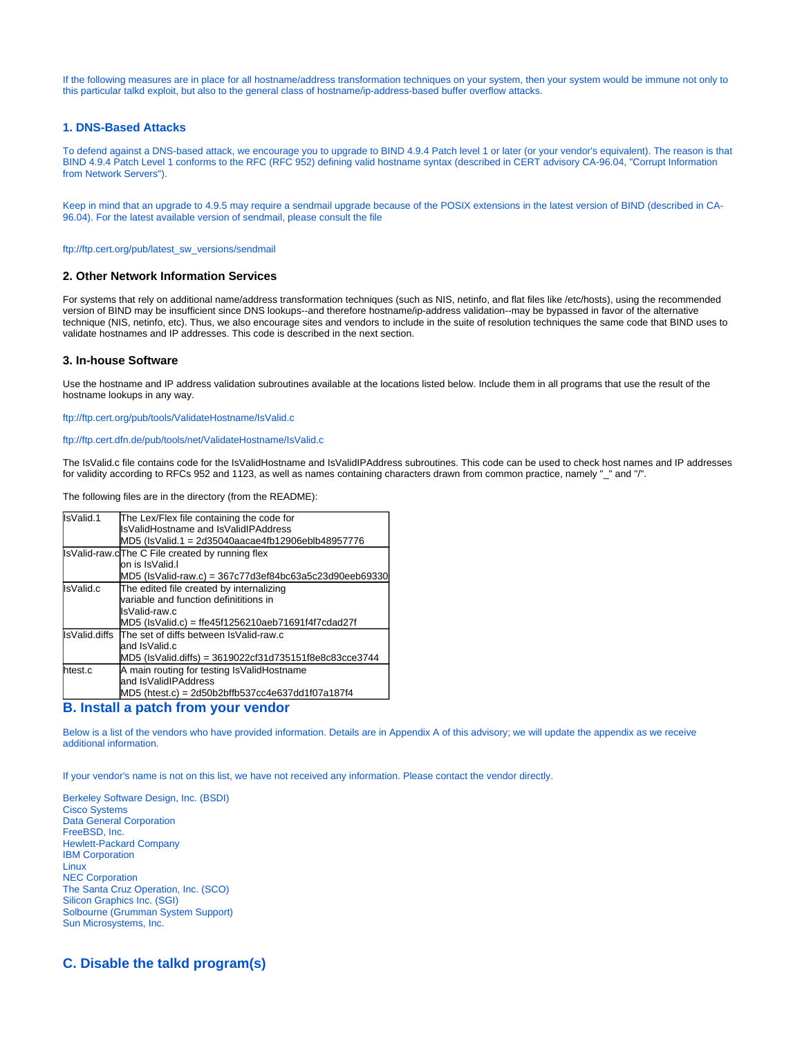If the following measures are in place for all hostname/address transformation techniques on your system, then your system would be immune not only to this particular talkd exploit, but also to the general class of hostname/ip-address-based buffer overflow attacks.

#### **1. DNS-Based Attacks**

To defend against a DNS-based attack, we encourage you to upgrade to BIND 4.9.4 Patch level 1 or later (or your vendor's equivalent). The reason is that BIND 4.9.4 Patch Level 1 conforms to the RFC (RFC 952) defining valid hostname syntax (described in CERT advisory CA-96.04, "Corrupt Information from Network Servers").

Keep in mind that an upgrade to 4.9.5 may require a sendmail upgrade because of the POSIX extensions in the latest version of BIND (described in CA-96.04). For the latest available version of sendmail, please consult the file

[ftp://ftp.cert.org/pub/latest\\_sw\\_versions/sendmail](ftp://ftp.cert.org/pub/latest_sw_versions/sendmail)

#### **2. Other Network Information Services**

For systems that rely on additional name/address transformation techniques (such as NIS, netinfo, and flat files like /etc/hosts), using the recommended version of BIND may be insufficient since DNS lookups--and therefore hostname/ip-address validation--may be bypassed in favor of the alternative technique (NIS, netinfo, etc). Thus, we also encourage sites and vendors to include in the suite of resolution techniques the same code that BIND uses to validate hostnames and IP addresses. This code is described in the next section.

#### **3. In-house Software**

Use the hostname and IP address validation subroutines available at the locations listed below. Include them in all programs that use the result of the hostname lookups in any way.

<ftp://ftp.cert.org/pub/tools/ValidateHostname/IsValid.c>

#### <ftp://ftp.cert.dfn.de/pub/tools/net/ValidateHostname/IsValid.c>

The IsValid.c file contains code for the IsValidHostname and IsValidIPAddress subroutines. This code can be used to check host names and IP addresses for validity according to RFCs 952 and 1123, as well as names containing characters drawn from common practice, namely "\_" and "/".

The following files are in the directory (from the README):

| IsValid.1 | The Lex/Flex file containing the code for                       |  |
|-----------|-----------------------------------------------------------------|--|
|           | llsValidHostname and IsValidIPAddress                           |  |
|           | MD5 (IsValid.1 = 2d35040aacae4fb12906eblb48957776               |  |
|           | IsValid-raw.cThe C File created by running flex                 |  |
|           | on is IsValid.I                                                 |  |
|           | MD5 (IsValid-raw.c) = 367c77d3ef84bc63a5c23d90eeb69330          |  |
| IsValid.c | The edited file created by internalizing                        |  |
|           | variable and function definititions in                          |  |
|           | IsValid-raw.c                                                   |  |
|           | MD5 (IsValid.c) = ffe45f1256210aeb71691f4f7cdad27f              |  |
|           | IsValid.diffs The set of diffs between IsValid-raw.c            |  |
|           | land IsValid.c                                                  |  |
|           | MD5 (IsValid.diffs) = 3619022cf31d735151f8e8c83cce3744          |  |
| htest.c   | A main routing for testing IsValidHostname                      |  |
|           | and IsValidIPAddress                                            |  |
|           | $MD5$ (htest.c) = 2d50b2bffb537cc4e637dd1f07a187f4              |  |
| .         | المتحال وبالمتحدث والمتحدث والمتحاش والمتحارب والمتحال والمتحال |  |

#### **B. Install a patch from your vendor**

Below is a list of the vendors who have provided information. Details are in Appendix A of this advisory; we will update the appendix as we receive additional information.

If your vendor's name is not on this list, we have not received any information. Please contact the vendor directly.

Berkeley Software Design, Inc. (BSDI) Cisco Systems Data General Corporation FreeBSD, Inc. Hewlett-Packard Company IBM Corporation Linux NEC Corporation The Santa Cruz Operation, Inc. (SCO) Silicon Graphics Inc. (SGI) Solbourne (Grumman System Support) Sun Microsystems, Inc.

**C. Disable the talkd program(s)**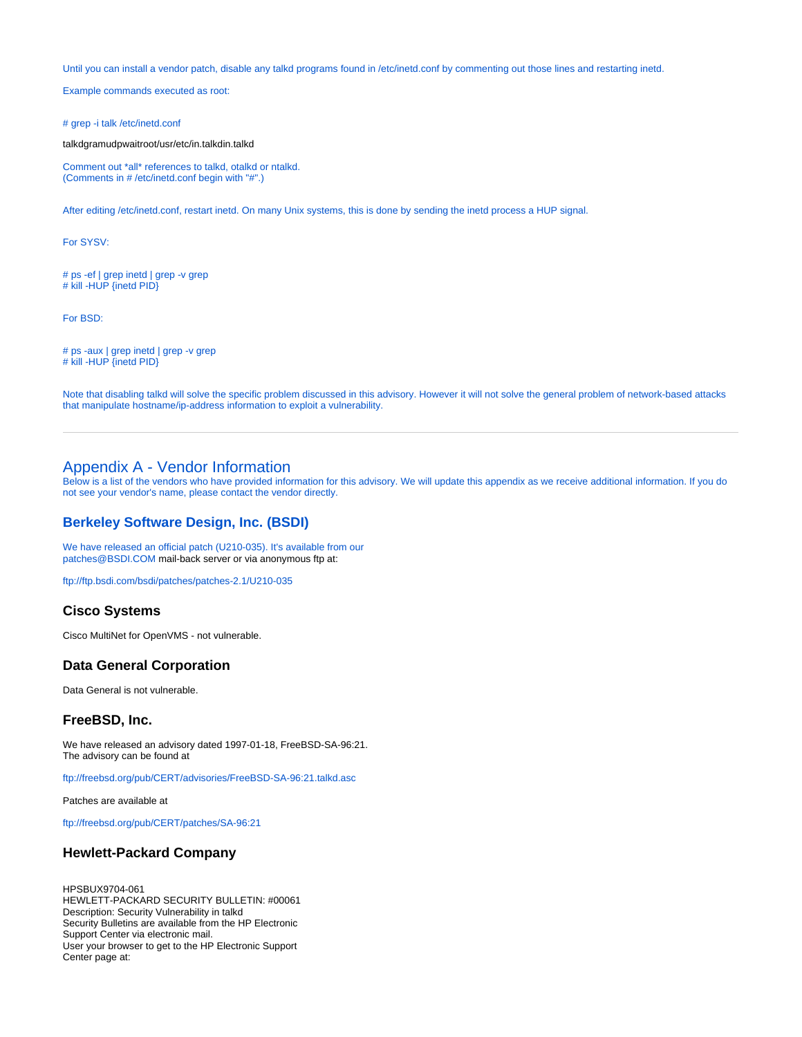Until you can install a vendor patch, disable any talkd programs found in /etc/inetd.conf by commenting out those lines and restarting inetd.

Example commands executed as root:

# grep -i talk /etc/inetd.conf

talkdgramudpwaitroot/usr/etc/in.talkdin.talkd

Comment out \*all\* references to talkd, otalkd or ntalkd. (Comments in # /etc/inetd.conf begin with "#".)

After editing /etc/inetd.conf, restart inetd. On many Unix systems, this is done by sending the inetd process a HUP signal.

For SYSV:

# ps -ef | grep inetd | grep -v grep # kill -HUP {inetd PID}

For BSD:

# ps -aux | grep inetd | grep -v grep # kill -HUP {inetd PID}

Note that disabling talkd will solve the specific problem discussed in this advisory. However it will not solve the general problem of network-based attacks that manipulate hostname/ip-address information to exploit a vulnerability.

## Appendix A - Vendor Information

Below is a list of the vendors who have provided information for this advisory. We will update this appendix as we receive additional information. If you do not see your vendor's name, please contact the vendor directly.

## **Berkeley Software Design, Inc. (BSDI)**

We have released an official patch (U210-035). It's available from our [patches@BSDI.COM](mailto:patches@BSDI.COM) mail-back server or via anonymous ftp at:

<ftp://ftp.bsdi.com/bsdi/patches/patches-2.1/U210-035>

#### **Cisco Systems**

Cisco MultiNet for OpenVMS - not vulnerable.

#### **Data General Corporation**

Data General is not vulnerable.

## **FreeBSD, Inc.**

We have released an advisory dated 1997-01-18, FreeBSD-SA-96:21. The advisory can be found at

<ftp://freebsd.org/pub/CERT/advisories/FreeBSD-SA-96:21.talkd.asc>

Patches are available at

<ftp://freebsd.org/pub/CERT/patches/SA-96:21>

#### **Hewlett-Packard Company**

HPSBUX9704-061

HEWLETT-PACKARD SECURITY BULLETIN: #00061 Description: Security Vulnerability in talkd Security Bulletins are available from the HP Electronic Support Center via electronic mail. User your browser to get to the HP Electronic Support Center page at: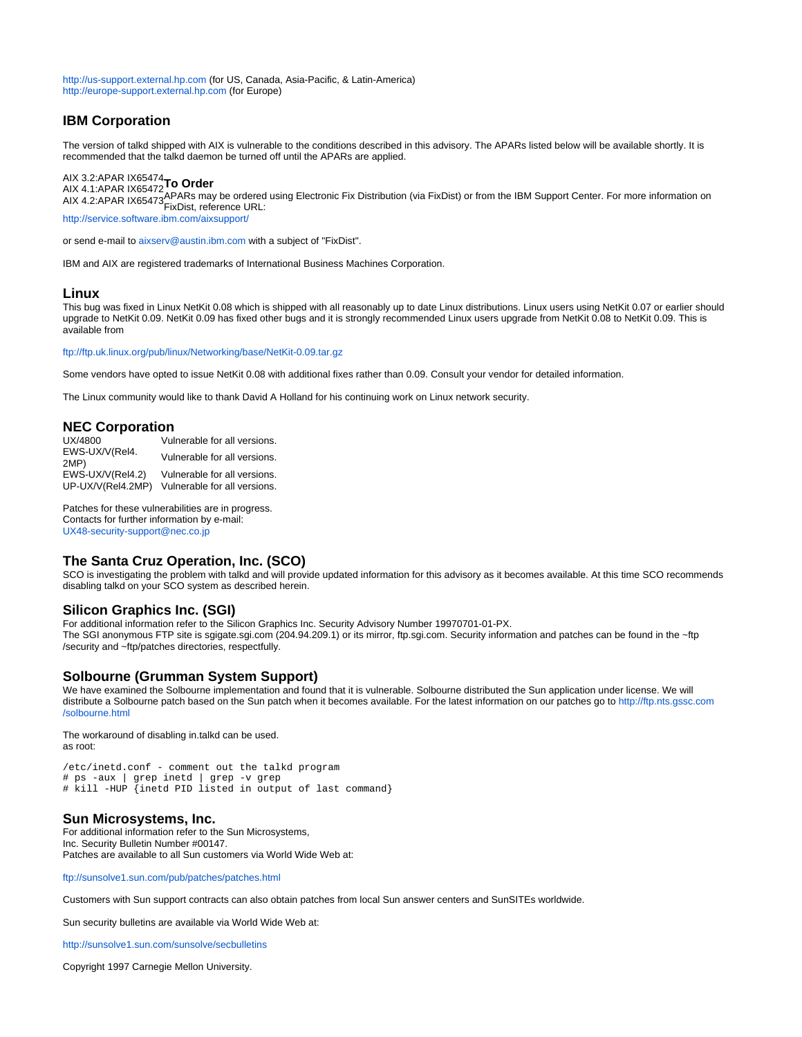<http://us-support.external.hp.com>(for US, Canada, Asia-Pacific, & Latin-America) <http://europe-support.external.hp.com> (for Europe)

## **IBM Corporation**

The version of talkd shipped with AIX is vulnerable to the conditions described in this advisory. The APARs listed below will be available shortly. It is recommended that the talkd daemon be turned off until the APARs are applied.

#### AIX 3.2:APAR IX65474 AIX 4.1:APAR IX65472 **To Order**

AIX 4.2:APAR IX65473FixDist may be ordered using Electronic Fix Distribution (via FixDist) or from the IBM Support Center. For more information on FixDist, reference URL:

<http://service.software.ibm.com/aixsupport/>

or send e-mail to [aixserv@austin.ibm.com](mailto:aixserv@austin.ibm.com) with a subject of "FixDist".

IBM and AIX are registered trademarks of International Business Machines Corporation.

#### **Linux**

This bug was fixed in Linux NetKit 0.08 which is shipped with all reasonably up to date Linux distributions. Linux users using NetKit 0.07 or earlier should upgrade to NetKit 0.09. NetKit 0.09 has fixed other bugs and it is strongly recommended Linux users upgrade from NetKit 0.08 to NetKit 0.09. This is available from

<ftp://ftp.uk.linux.org/pub/linux/Networking/base/NetKit-0.09.tar.gz>

Some vendors have opted to issue NetKit 0.08 with additional fixes rather than 0.09. Consult your vendor for detailed information.

The Linux community would like to thank David A Holland for his continuing work on Linux network security.

## **NEC Corporation**

Vulnerable for all versions. EWS-UX/V(Rel4. EWS-OAM (Nellet. Vulnerable for all versions.<br>2MP)<br>EWS-UX/V(Rel4.2) Vulnerable for all versions. Vulnerable for all versions. UP-UX/V(Rel4.2MP) Vulnerable for all versions.

Patches for these vulnerabilities are in progress. Contacts for further information by e-mail:

[UX48-security-support@nec.co.jp](mailto:UX48-security-support@nec.co.jp)

#### **The Santa Cruz Operation, Inc. (SCO)**

SCO is investigating the problem with talkd and will provide updated information for this advisory as it becomes available. At this time SCO recommends disabling talkd on your SCO system as described herein.

#### **Silicon Graphics Inc. (SGI)**

For additional information refer to the Silicon Graphics Inc. Security Advisory Number 19970701-01-PX. The SGI anonymous FTP site is sgigate.sgi.com (204.94.209.1) or its mirror, ftp.sgi.com. Security information and patches can be found in the ~ftp /security and ~ftp/patches directories, respectfully.

#### **Solbourne (Grumman System Support)**

We have examined the Solbourne implementation and found that it is vulnerable. Solbourne distributed the Sun application under license. We will distribute a Solbourne patch based on the Sun patch when it becomes available. For the latest information on our patches go to [http://ftp.nts.gssc.com](http://ftp.nts.gssc.com/solbourne.html) [/solbourne.html](http://ftp.nts.gssc.com/solbourne.html)

The workaround of disabling in.talkd can be used. as root:

/etc/inetd.conf - comment out the talkd program # ps -aux | grep inetd | grep -v grep # kill -HUP {inetd PID listed in output of last command}

## **Sun Microsystems, Inc.**

For additional information refer to the Sun Microsystems, Inc. Security Bulletin Number #00147. Patches are available to all Sun customers via World Wide Web at:

<ftp://sunsolve1.sun.com/pub/patches/patches.html>

Customers with Sun support contracts can also obtain patches from local Sun answer centers and SunSITEs worldwide.

Sun security bulletins are available via World Wide Web at:

<http://sunsolve1.sun.com/sunsolve/secbulletins>

Copyright 1997 Carnegie Mellon University.